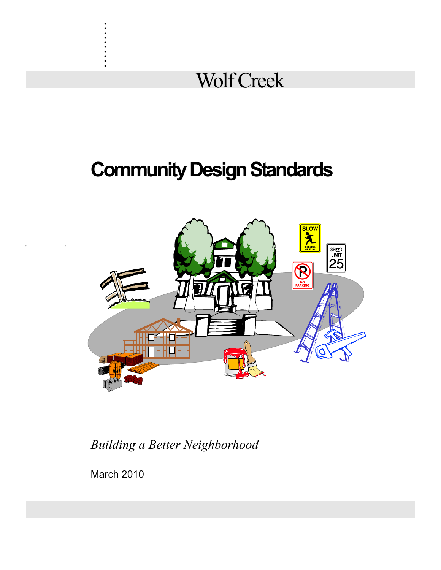

# **Community Design Standards**



*Building a Better Neighborhood*

March 2010

. . . . . . . . . .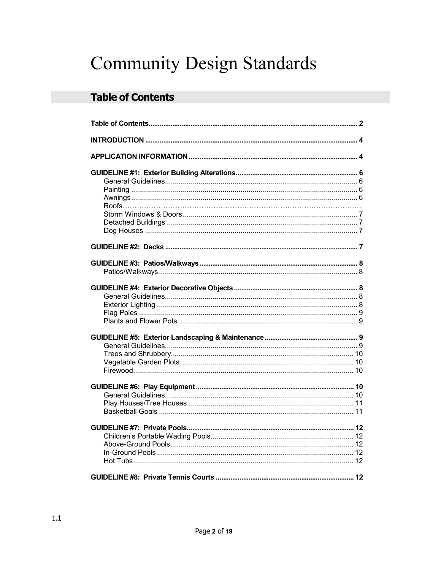# **Community Design Standards**

## **Table of Contents**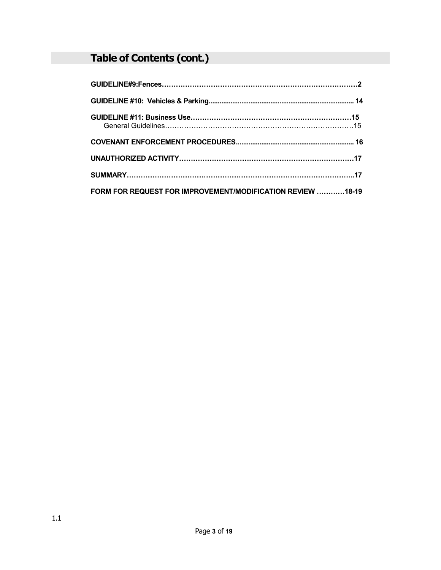## **Table of Contents (cont.)**

| FORM FOR REQUEST FOR IMPROVEMENT/MODIFICATION REVIEW 18-19 |  |
|------------------------------------------------------------|--|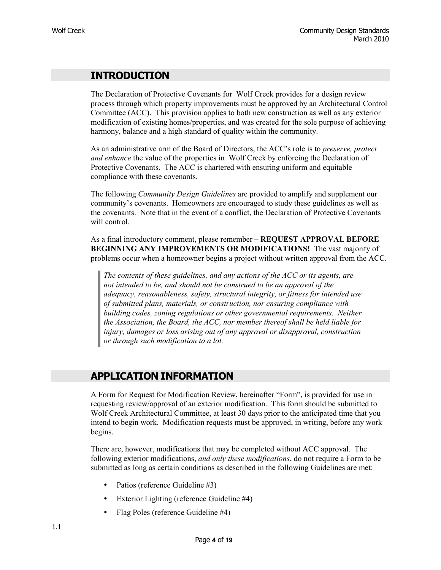## **INTRODUCTION**

The Declaration of Protective Covenants for Wolf Creek provides for a design review process through which property improvements must be approved by an Architectural Control Committee (ACC). This provision applies to both new construction as well as any exterior modification of existing homes/properties, and was created for the sole purpose of achieving harmony, balance and a high standard of quality within the community.

As an administrative arm of the Board of Directors, the ACC's role is to *preserve, protect and enhance* the value of the properties in Wolf Creek by enforcing the Declaration of Protective Covenants. The ACC is chartered with ensuring uniform and equitable compliance with these covenants.

The following *Community Design Guidelines* are provided to amplify and supplement our community's covenants. Homeowners are encouraged to study these guidelines as well as the covenants. Note that in the event of a conflict, the Declaration of Protective Covenants will control.

As a final introductory comment, please remember – **REQUEST APPROVAL BEFORE BEGINNING ANY IMPROVEMENTS OR MODIFICATIONS!** The vast majority of problems occur when a homeowner begins a project without written approval from the ACC.

*The contents of these guidelines, and any actions of the ACC or its agents, are not intended to be, and should not be construed to be an approval of the adequacy, reasonableness, safety, structural integrity, or fitness for intended use of submitted plans, materials, or construction, nor ensuring compliance with building codes, zoning regulations or other governmental requirements. Neither the Association, the Board, the ACC, nor member thereof shall be held liable for injury, damages or loss arising out of any approval or disapproval, construction or through such modification to a lot.* 

## **APPLICATION INFORMATION**

A Form for Request for Modification Review, hereinafter "Form", is provided for use in requesting review/approval of an exterior modification. This form should be submitted to Wolf Creek Architectural Committee, at least 30 days prior to the anticipated time that you intend to begin work. Modification requests must be approved, in writing, before any work begins.

There are, however, modifications that may be completed without ACC approval. The following exterior modifications, *and only these modifications*, do not require a Form to be submitted as long as certain conditions as described in the following Guidelines are met:

- Patios (reference Guideline #3)
- Exterior Lighting (reference Guideline #4)
- Flag Poles (reference Guideline #4)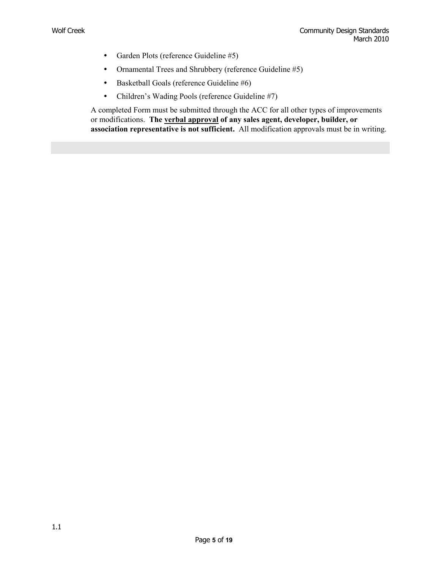- Garden Plots (reference Guideline #5)
- Ornamental Trees and Shrubbery (reference Guideline #5)
- Basketball Goals (reference Guideline #6)
- Children's Wading Pools (reference Guideline #7)

A completed Form must be submitted through the ACC for all other types of improvements or modifications. **The verbal approval of any sales agent, developer, builder, or association representative is not sufficient.** All modification approvals must be in writing.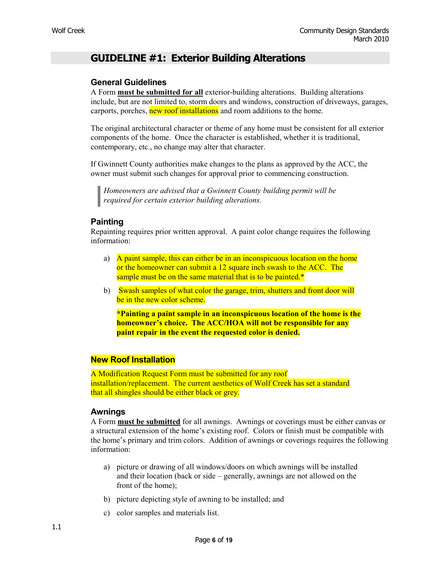## **GUIDELINE #1: Exterior Building Alterations**

#### **General Guidelines**

A Form **must be submitted for all** exterior-building alterations. Building alterations include, but are not limited to, storm doors and windows, construction of driveways, garages, carports, porches, new roof installations and room additions to the home.

The original architectural character or theme of any home must be consistent for all exterior components of the home. Once the character is established, whether it is traditional, contemporary, etc., no change may alter that character.

If Gwinnett County authorities make changes to the plans as approved by the ACC, the owner must submit such changes for approval prior to commencing construction.

*Homeowners are advised that a Gwinnett County building permit will be required for certain exterior building alterations.* 

#### **Painting**

Repainting requires prior written approval. A paint color change requires the following information:

- a) A paint sample, this can either be in an inconspicuous location on the home or the homeowner can submit a 12 square inch swash to the ACC. The sample must be on the same material that is to be painted.\*
- b) Swash samples of what color the garage, trim, shutters and front door will be in the new color scheme.

**\*Painting a paint sample in an inconspicuous location of the home is the homeowner's choice. The ACC/HOA will not be responsible for any paint repair in the event the requested color is denied.** 

#### **New Roof Installation**

A Modification Request Form must be submitted for any roof installation/replacement. The current aesthetics of Wolf Creek has set a standard that all shingles should be either black or grey.

#### **Awnings**

A Form **must be submitted** for all awnings. Awnings or coverings must be either canvas or a structural extension of the home's existing roof. Colors or finish must be compatible with the home's primary and trim colors. Addition of awnings or coverings requires the following information:

- a) picture or drawing of all windows/doors on which awnings will be installed and their location (back or side – generally, awnings are not allowed on the front of the home);
- b) picture depicting style of awning to be installed; and
- c) color samples and materials list.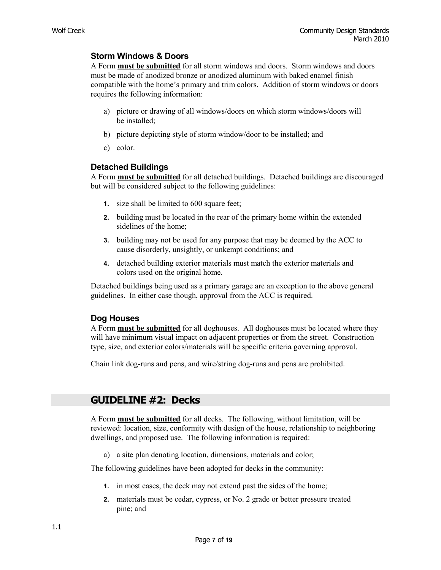#### **Storm Windows & Doors**

A Form **must be submitted** for all storm windows and doors. Storm windows and doors must be made of anodized bronze or anodized aluminum with baked enamel finish compatible with the home's primary and trim colors. Addition of storm windows or doors requires the following information:

- a) picture or drawing of all windows/doors on which storm windows/doors will be installed;
- b) picture depicting style of storm window/door to be installed; and
- c) color.

#### **Detached Buildings**

A Form **must be submitted** for all detached buildings. Detached buildings are discouraged but will be considered subject to the following guidelines:

- **1.** size shall be limited to 600 square feet;
- **2.** building must be located in the rear of the primary home within the extended sidelines of the home;
- **3.** building may not be used for any purpose that may be deemed by the ACC to cause disorderly, unsightly, or unkempt conditions; and
- **4.** detached building exterior materials must match the exterior materials and colors used on the original home.

Detached buildings being used as a primary garage are an exception to the above general guidelines. In either case though, approval from the ACC is required.

#### **Dog Houses**

A Form **must be submitted** for all doghouses. All doghouses must be located where they will have minimum visual impact on adjacent properties or from the street. Construction type, size, and exterior colors/materials will be specific criteria governing approval.

Chain link dog-runs and pens, and wire/string dog-runs and pens are prohibited.

## **GUIDELINE #2: Decks**

A Form **must be submitted** for all decks. The following, without limitation, will be reviewed: location, size, conformity with design of the house, relationship to neighboring dwellings, and proposed use. The following information is required:

a) a site plan denoting location, dimensions, materials and color;

The following guidelines have been adopted for decks in the community:

- **1.** in most cases, the deck may not extend past the sides of the home;
- **2.** materials must be cedar, cypress, or No. 2 grade or better pressure treated pine; and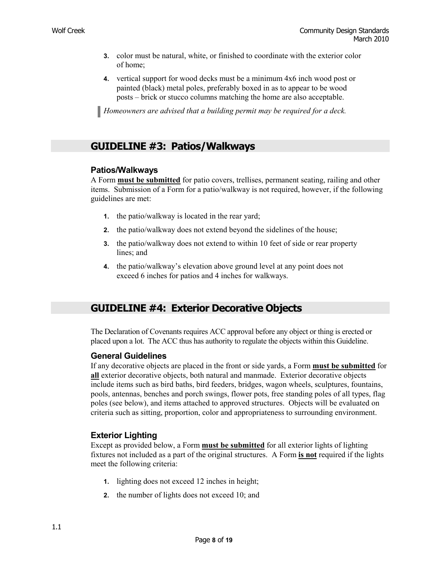- **3.** color must be natural, white, or finished to coordinate with the exterior color of home;
- **4.** vertical support for wood decks must be a minimum 4x6 inch wood post or painted (black) metal poles, preferably boxed in as to appear to be wood posts – brick or stucco columns matching the home are also acceptable.

*Homeowners are advised that a building permit may be required for a deck.* 

## **GUIDELINE #3: Patios/Walkways**

#### **Patios/Walkways**

A Form **must be submitted** for patio covers, trellises, permanent seating, railing and other items. Submission of a Form for a patio/walkway is not required, however, if the following guidelines are met:

- **1.** the patio/walkway is located in the rear yard;
- **2.** the patio/walkway does not extend beyond the sidelines of the house;
- **3.** the patio/walkway does not extend to within 10 feet of side or rear property lines; and
- **4.** the patio/walkway's elevation above ground level at any point does not exceed 6 inches for patios and 4 inches for walkways.

## **GUIDELINE #4: Exterior Decorative Objects**

The Declaration of Covenants requires ACC approval before any object or thing is erected or placed upon a lot. The ACC thus has authority to regulate the objects within this Guideline.

#### **General Guidelines**

If any decorative objects are placed in the front or side yards, a Form **must be submitted** for **all** exterior decorative objects, both natural and manmade. Exterior decorative objects include items such as bird baths, bird feeders, bridges, wagon wheels, sculptures, fountains, pools, antennas, benches and porch swings, flower pots, free standing poles of all types, flag poles (see below), and items attached to approved structures. Objects will be evaluated on criteria such as sitting, proportion, color and appropriateness to surrounding environment.

#### **Exterior Lighting**

Except as provided below, a Form **must be submitted** for all exterior lights of lighting fixtures not included as a part of the original structures. A Form **is not** required if the lights meet the following criteria:

- **1.** lighting does not exceed 12 inches in height;
- **2.** the number of lights does not exceed 10; and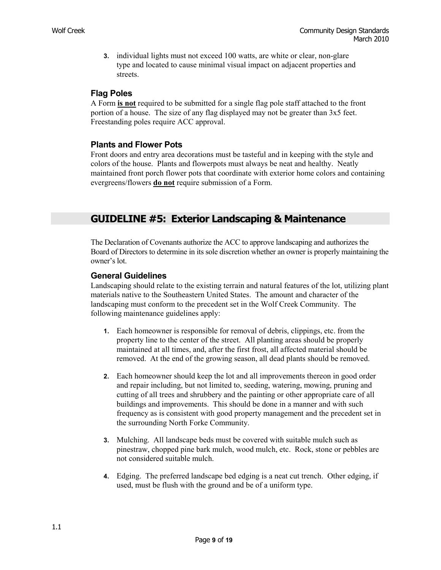**3.** individual lights must not exceed 100 watts, are white or clear, non-glare type and located to cause minimal visual impact on adjacent properties and streets.

#### **Flag Poles**

A Form **is not** required to be submitted for a single flag pole staff attached to the front portion of a house. The size of any flag displayed may not be greater than 3x5 feet. Freestanding poles require ACC approval.

#### **Plants and Flower Pots**

Front doors and entry area decorations must be tasteful and in keeping with the style and colors of the house. Plants and flowerpots must always be neat and healthy. Neatly maintained front porch flower pots that coordinate with exterior home colors and containing evergreens/flowers **do not** require submission of a Form.

## **GUIDELINE #5: Exterior Landscaping & Maintenance**

The Declaration of Covenants authorize the ACC to approve landscaping and authorizes the Board of Directors to determine in its sole discretion whether an owner is properly maintaining the owner's lot.

#### **General Guidelines**

Landscaping should relate to the existing terrain and natural features of the lot, utilizing plant materials native to the Southeastern United States. The amount and character of the landscaping must conform to the precedent set in the Wolf Creek Community. The following maintenance guidelines apply:

- **1.** Each homeowner is responsible for removal of debris, clippings, etc. from the property line to the center of the street. All planting areas should be properly maintained at all times, and, after the first frost, all affected material should be removed. At the end of the growing season, all dead plants should be removed.
- **2.** Each homeowner should keep the lot and all improvements thereon in good order and repair including, but not limited to, seeding, watering, mowing, pruning and cutting of all trees and shrubbery and the painting or other appropriate care of all buildings and improvements. This should be done in a manner and with such frequency as is consistent with good property management and the precedent set in the surrounding North Forke Community.
- **3.** Mulching. All landscape beds must be covered with suitable mulch such as pinestraw, chopped pine bark mulch, wood mulch, etc. Rock, stone or pebbles are not considered suitable mulch.
- **4.** Edging. The preferred landscape bed edging is a neat cut trench. Other edging, if used, must be flush with the ground and be of a uniform type.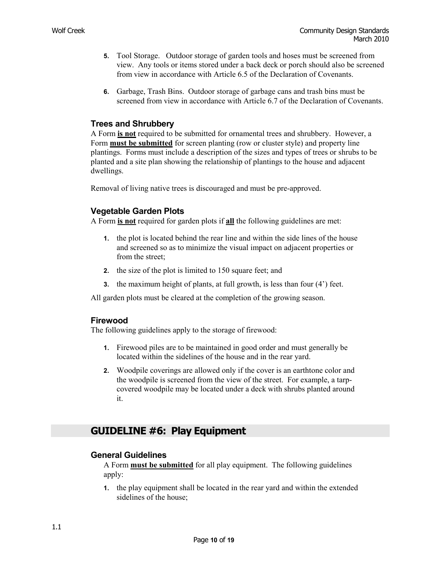- **5.** Tool Storage. Outdoor storage of garden tools and hoses must be screened from view. Any tools or items stored under a back deck or porch should also be screened from view in accordance with Article 6.5 of the Declaration of Covenants.
- **6.** Garbage, Trash Bins. Outdoor storage of garbage cans and trash bins must be screened from view in accordance with Article 6.7 of the Declaration of Covenants.

#### **Trees and Shrubbery**

A Form **is not** required to be submitted for ornamental trees and shrubbery. However, a Form **must be submitted** for screen planting (row or cluster style) and property line plantings. Forms must include a description of the sizes and types of trees or shrubs to be planted and a site plan showing the relationship of plantings to the house and adjacent dwellings.

Removal of living native trees is discouraged and must be pre-approved.

#### **Vegetable Garden Plots**

A Form **is not** required for garden plots if **all** the following guidelines are met:

- **1.** the plot is located behind the rear line and within the side lines of the house and screened so as to minimize the visual impact on adjacent properties or from the street;
- **2.** the size of the plot is limited to 150 square feet; and
- **3.** the maximum height of plants, at full growth, is less than four (4') feet.

All garden plots must be cleared at the completion of the growing season.

#### **Firewood**

The following guidelines apply to the storage of firewood:

- **1.** Firewood piles are to be maintained in good order and must generally be located within the sidelines of the house and in the rear yard.
- **2.** Woodpile coverings are allowed only if the cover is an earthtone color and the woodpile is screened from the view of the street. For example, a tarpcovered woodpile may be located under a deck with shrubs planted around it.

## **GUIDELINE #6: Play Equipment**

#### **General Guidelines**

A Form **must be submitted** for all play equipment. The following guidelines apply:

**1.** the play equipment shall be located in the rear yard and within the extended sidelines of the house;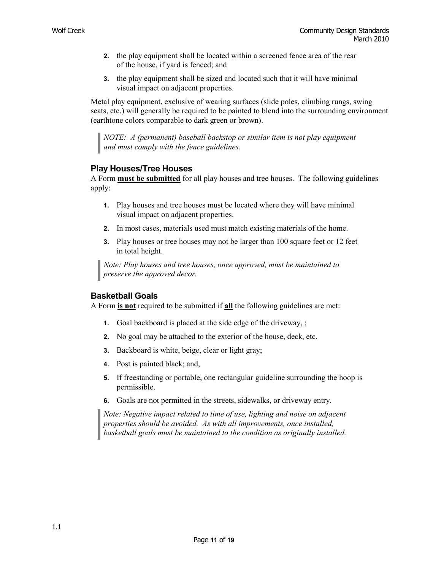- **2.** the play equipment shall be located within a screened fence area of the rear of the house, if yard is fenced; and
- **3.** the play equipment shall be sized and located such that it will have minimal visual impact on adjacent properties.

Metal play equipment, exclusive of wearing surfaces (slide poles, climbing rungs, swing seats, etc.) will generally be required to be painted to blend into the surrounding environment (earthtone colors comparable to dark green or brown).

*NOTE: A (permanent) baseball backstop or similar item is not play equipment and must comply with the fence guidelines.* 

#### **Play Houses/Tree Houses**

A Form **must be submitted** for all play houses and tree houses. The following guidelines apply:

- **1.** Play houses and tree houses must be located where they will have minimal visual impact on adjacent properties.
- **2.** In most cases, materials used must match existing materials of the home.
- **3.** Play houses or tree houses may not be larger than 100 square feet or 12 feet in total height.

*Note: Play houses and tree houses, once approved, must be maintained to preserve the approved decor.* 

#### **Basketball Goals**

A Form **is not** required to be submitted if **all** the following guidelines are met:

- **1.** Goal backboard is placed at the side edge of the driveway, ;
- **2.** No goal may be attached to the exterior of the house, deck, etc.
- **3.** Backboard is white, beige, clear or light gray;
- **4.** Post is painted black; and,
- **5.** If freestanding or portable, one rectangular guideline surrounding the hoop is permissible.
- **6.** Goals are not permitted in the streets, sidewalks, or driveway entry.

*Note: Negative impact related to time of use, lighting and noise on adjacent properties should be avoided. As with all improvements, once installed, basketball goals must be maintained to the condition as originally installed.*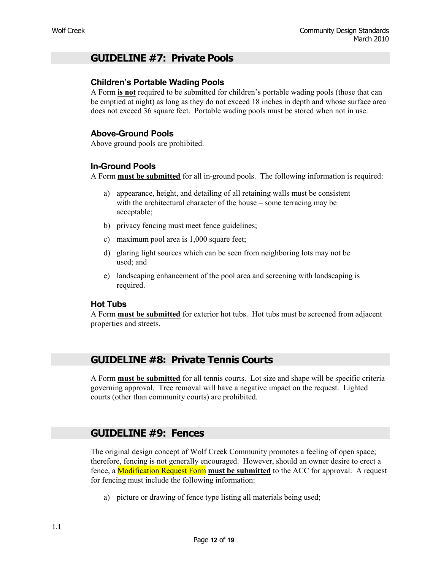## **GUIDELINE #7: Private Pools**

#### **Children's Portable Wading Pools**

A Form **is not** required to be submitted for children's portable wading pools (those that can be emptied at night) as long as they do not exceed 18 inches in depth and whose surface area does not exceed 36 square feet. Portable wading pools must be stored when not in use.

#### **Above-Ground Pools**

Above ground pools are prohibited.

#### **In-Ground Pools**

A Form **must be submitted** for all in-ground pools. The following information is required:

- a) appearance, height, and detailing of all retaining walls must be consistent with the architectural character of the house – some terracing may be acceptable;
- b) privacy fencing must meet fence guidelines;
- c) maximum pool area is 1,000 square feet;
- d) glaring light sources which can be seen from neighboring lots may not be used; and
- e) landscaping enhancement of the pool area and screening with landscaping is required.

#### **Hot Tubs**

A Form **must be submitted** for exterior hot tubs. Hot tubs must be screened from adjacent properties and streets.

## **GUIDELINE #8: Private Tennis Courts**

A Form **must be submitted** for all tennis courts. Lot size and shape will be specific criteria governing approval. Tree removal will have a negative impact on the request. Lighted courts (other than community courts) are prohibited.

## **GUIDELINE #9: Fences**

The original design concept of Wolf Creek Community promotes a feeling of open space; therefore, fencing is not generally encouraged. However, should an owner desire to erect a fence, a Modification Request Form **must be submitted** to the ACC for approval. A request for fencing must include the following information:

a) picture or drawing of fence type listing all materials being used;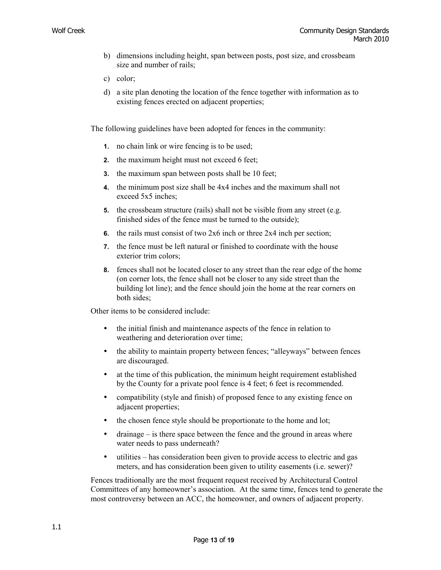- b) dimensions including height, span between posts, post size, and crossbeam size and number of rails;
- c) color;
- d) a site plan denoting the location of the fence together with information as to existing fences erected on adjacent properties;

The following guidelines have been adopted for fences in the community:

- **1.** no chain link or wire fencing is to be used;
- **2.** the maximum height must not exceed 6 feet;
- **3.** the maximum span between posts shall be 10 feet;
- **4.** the minimum post size shall be 4x4 inches and the maximum shall not exceed 5x5 inches;
- **5.** the crossbeam structure (rails) shall not be visible from any street (e.g. finished sides of the fence must be turned to the outside);
- **6.** the rails must consist of two 2x6 inch or three 2x4 inch per section;
- **7.** the fence must be left natural or finished to coordinate with the house exterior trim colors;
- **8.** fences shall not be located closer to any street than the rear edge of the home (on corner lots, the fence shall not be closer to any side street than the building lot line); and the fence should join the home at the rear corners on both sides;

Other items to be considered include:

- the initial finish and maintenance aspects of the fence in relation to weathering and deterioration over time;
- the ability to maintain property between fences; "alleyways" between fences are discouraged.
- at the time of this publication, the minimum height requirement established by the County for a private pool fence is 4 feet; 6 feet is recommended.
- compatibility (style and finish) of proposed fence to any existing fence on adjacent properties;
- the chosen fence style should be proportionate to the home and lot;
- drainage is there space between the fence and the ground in areas where water needs to pass underneath?
- utilities has consideration been given to provide access to electric and gas meters, and has consideration been given to utility easements (i.e. sewer)?

Fences traditionally are the most frequent request received by Architectural Control Committees of any homeowner's association. At the same time, fences tend to generate the most controversy between an ACC, the homeowner, and owners of adjacent property.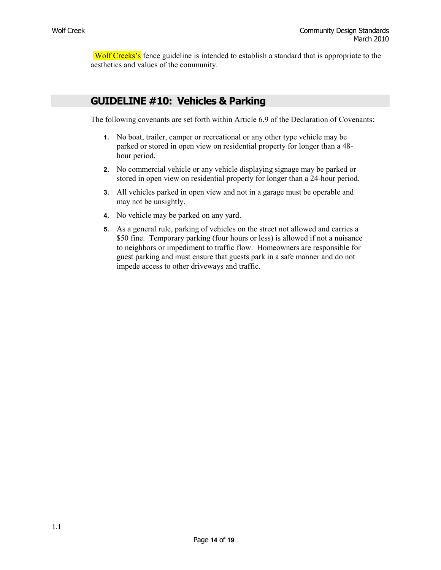Wolf Creeks's fence guideline is intended to establish a standard that is appropriate to the aesthetics and values of the community.

## **GUIDELINE #10: Vehicles & Parking**

The following covenants are set forth within Article 6.9 of the Declaration of Covenants:

- **1.** No boat, trailer, camper or recreational or any other type vehicle may be parked or stored in open view on residential property for longer than a 48 hour period.
- **2.** No commercial vehicle or any vehicle displaying signage may be parked or stored in open view on residential property for longer than a 24-hour period.
- **3.** All vehicles parked in open view and not in a garage must be operable and may not be unsightly.
- **4.** No vehicle may be parked on any yard.
- **5.** As a general rule, parking of vehicles on the street not allowed and carries a \$50 fine. Temporary parking (four hours or less) is allowed if not a nuisance to neighbors or impediment to traffic flow. Homeowners are responsible for guest parking and must ensure that guests park in a safe manner and do not impede access to other driveways and traffic.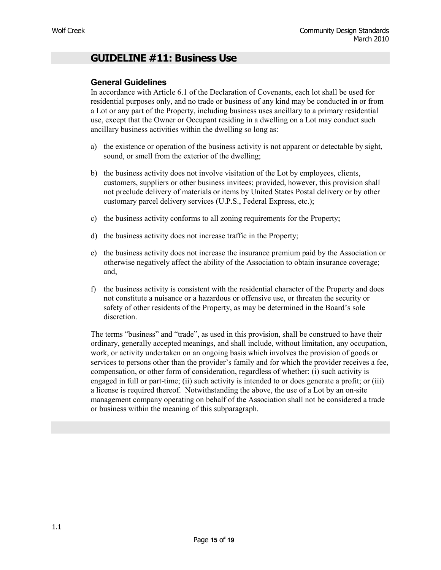## **GUIDELINE #11: Business Use**

#### **General Guidelines**

In accordance with Article 6.1 of the Declaration of Covenants, each lot shall be used for residential purposes only, and no trade or business of any kind may be conducted in or from a Lot or any part of the Property, including business uses ancillary to a primary residential use, except that the Owner or Occupant residing in a dwelling on a Lot may conduct such ancillary business activities within the dwelling so long as:

- a) the existence or operation of the business activity is not apparent or detectable by sight, sound, or smell from the exterior of the dwelling;
- b) the business activity does not involve visitation of the Lot by employees, clients, customers, suppliers or other business invitees; provided, however, this provision shall not preclude delivery of materials or items by United States Postal delivery or by other customary parcel delivery services (U.P.S., Federal Express, etc.);
- c) the business activity conforms to all zoning requirements for the Property;
- d) the business activity does not increase traffic in the Property;
- e) the business activity does not increase the insurance premium paid by the Association or otherwise negatively affect the ability of the Association to obtain insurance coverage; and,
- f) the business activity is consistent with the residential character of the Property and does not constitute a nuisance or a hazardous or offensive use, or threaten the security or safety of other residents of the Property, as may be determined in the Board's sole discretion.

The terms "business" and "trade", as used in this provision, shall be construed to have their ordinary, generally accepted meanings, and shall include, without limitation, any occupation, work, or activity undertaken on an ongoing basis which involves the provision of goods or services to persons other than the provider's family and for which the provider receives a fee, compensation, or other form of consideration, regardless of whether: (i) such activity is engaged in full or part-time; (ii) such activity is intended to or does generate a profit; or (iii) a license is required thereof. Notwithstanding the above, the use of a Lot by an on-site management company operating on behalf of the Association shall not be considered a trade or business within the meaning of this subparagraph.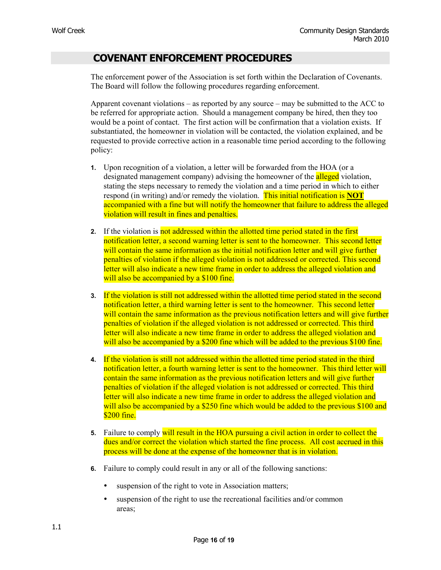## **COVENANT ENFORCEMENT PROCEDURES**

The enforcement power of the Association is set forth within the Declaration of Covenants. The Board will follow the following procedures regarding enforcement.

Apparent covenant violations – as reported by any source – may be submitted to the ACC to be referred for appropriate action. Should a management company be hired, then they too would be a point of contact. The first action will be confirmation that a violation exists. If substantiated, the homeowner in violation will be contacted, the violation explained, and be requested to provide corrective action in a reasonable time period according to the following policy:

- **1.** Upon recognition of a violation, a letter will be forwarded from the HOA (or a designated management company) advising the homeowner of the **alleged** violation, stating the steps necessary to remedy the violation and a time period in which to either respond (in writing) and/or remedy the violation. This initial notification is **NOT**  accompanied with a fine but will notify the homeowner that failure to address the alleged violation will result in fines and penalties.
- **2.** If the violation is not addressed within the allotted time period stated in the first notification letter, a second warning letter is sent to the homeowner. This second letter will contain the same information as the initial notification letter and will give further penalties of violation if the alleged violation is not addressed or corrected. This second letter will also indicate a new time frame in order to address the alleged violation and will also be accompanied by a \$100 fine.
- **3.** If the violation is still not addressed within the allotted time period stated in the second notification letter, a third warning letter is sent to the homeowner. This second letter will contain the same information as the previous notification letters and will give further penalties of violation if the alleged violation is not addressed or corrected. This third letter will also indicate a new time frame in order to address the alleged violation and will also be accompanied by a \$200 fine which will be added to the previous \$100 fine.
- **4.** If the violation is still not addressed within the allotted time period stated in the third notification letter, a fourth warning letter is sent to the homeowner. This third letter will contain the same information as the previous notification letters and will give further penalties of violation if the alleged violation is not addressed or corrected. This third letter will also indicate a new time frame in order to address the alleged violation and will also be accompanied by a \$250 fine which would be added to the previous \$100 and \$200 fine.
- **5.** Failure to comply will result in the HOA pursuing a civil action in order to collect the dues and/or correct the violation which started the fine process. All cost accrued in this process will be done at the expense of the homeowner that is in violation.
- **6.** Failure to comply could result in any or all of the following sanctions:
	- suspension of the right to vote in Association matters;
	- suspension of the right to use the recreational facilities and/or common areas;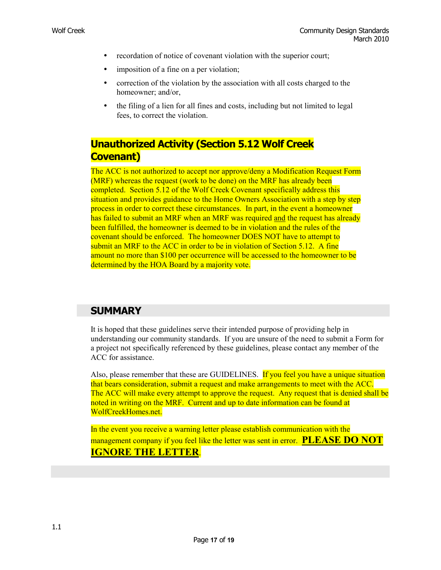- recordation of notice of covenant violation with the superior court;
- imposition of a fine on a per violation;
- correction of the violation by the association with all costs charged to the homeowner; and/or,
- the filing of a lien for all fines and costs, including but not limited to legal fees, to correct the violation.

## **Unauthorized Activity (Section 5.12 Wolf Creek Covenant)**

The ACC is not authorized to accept nor approve/deny a Modification Request Form (MRF) whereas the request (work to be done) on the MRF has already been completed. Section 5.12 of the Wolf Creek Covenant specifically address this situation and provides guidance to the Home Owners Association with a step by step process in order to correct these circumstances. In part, in the event a homeowner has failed to submit an MRF when an MRF was required and the request has already been fulfilled, the homeowner is deemed to be in violation and the rules of the covenant should be enforced. The homeowner DOES NOT have to attempt to submit an MRF to the ACC in order to be in violation of Section 5.12. A fine amount no more than \$100 per occurrence will be accessed to the homeowner to be determined by the HOA Board by a majority vote.

## **SUMMARY**

It is hoped that these guidelines serve their intended purpose of providing help in understanding our community standards. If you are unsure of the need to submit a Form for a project not specifically referenced by these guidelines, please contact any member of the ACC for assistance.

Also, please remember that these are GUIDELINES. If you feel you have a unique situation that bears consideration, submit a request and make arrangements to meet with the ACC. The ACC will make every attempt to approve the request. Any request that is denied shall be noted in writing on the MRF. Current and up to date information can be found at WolfCreekHomes.net.

In the event you receive a warning letter please establish communication with the management company if you feel like the letter was sent in error. **PLEASE DO NOT IGNORE THE LETTER**.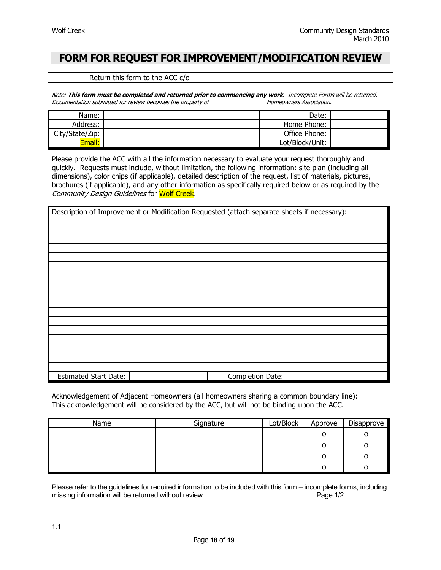## **FORM FOR REQUEST FOR IMPROVEMENT/MODIFICATION REVIEW**

Return this form to the ACC  $c/o$ 

Note: **This form must be completed and returned prior to commencing any work.** Incomplete Forms will be returned. Documentation submitted for review becomes the property of \_\_\_\_\_\_\_\_\_\_\_\_\_\_\_\_\_ Homeowners Association.

| Name:           | Date:           |  |
|-----------------|-----------------|--|
| Address:        | Home Phone:     |  |
| City/State/Zip: | Office Phone:   |  |
| Email:          | Lot/Block/Unit: |  |

Please provide the ACC with all the information necessary to evaluate your request thoroughly and quickly. Requests must include, without limitation, the following information: site plan (including all dimensions), color chips (if applicable), detailed description of the request, list of materials, pictures, brochures (if applicable), and any other information as specifically required below or as required by the Community Design Guidelines for Wolf Creek.

| Description of Improvement or Modification Requested (attach separate sheets if necessary): |                  |  |
|---------------------------------------------------------------------------------------------|------------------|--|
|                                                                                             |                  |  |
|                                                                                             |                  |  |
|                                                                                             |                  |  |
|                                                                                             |                  |  |
|                                                                                             |                  |  |
|                                                                                             |                  |  |
|                                                                                             |                  |  |
|                                                                                             |                  |  |
|                                                                                             |                  |  |
|                                                                                             |                  |  |
|                                                                                             |                  |  |
|                                                                                             |                  |  |
|                                                                                             |                  |  |
|                                                                                             |                  |  |
|                                                                                             |                  |  |
|                                                                                             |                  |  |
| <b>Estimated Start Date:</b>                                                                | Completion Date: |  |

Acknowledgement of Adjacent Homeowners (all homeowners sharing a common boundary line): This acknowledgement will be considered by the ACC, but will not be binding upon the ACC.

| Name | Signature | Lot/Block | Approve | Disapprove |
|------|-----------|-----------|---------|------------|
|      |           |           |         |            |
|      |           |           |         |            |
|      |           |           |         |            |
|      |           |           |         |            |

Please refer to the guidelines for required information to be included with this form – incomplete forms, including missing information will be returned without review. The matter of the contract of the Page 1/2